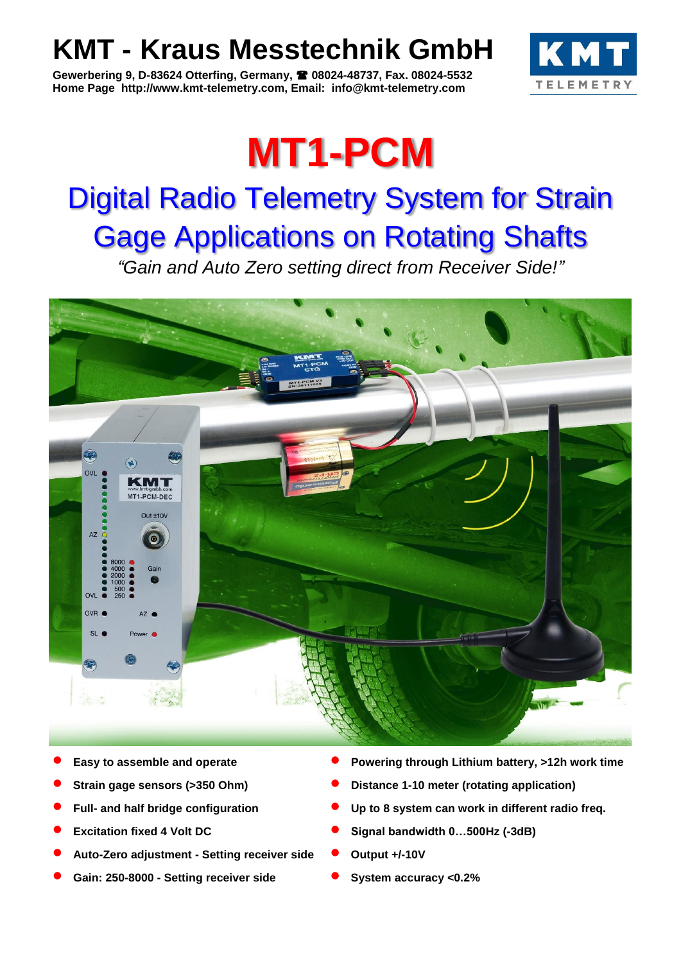## **KMT - Kraus Messtechnik GmbH**

**Gewerbering 9, D-83624 Otterfing, Germany, 08024-48737, Fax. 08024-5532 Home Page http://www.kmt-telemetry.com, Email: info@kmt-telemetry.com**



# **MT1-PCM**

## Digital Radio Telemetry System for Strain Gage Applications on Rotating Shafts

*"Gain and Auto Zero setting direct from Receiver Side!"*



- 
- 
- 
- 
- **Auto-Zero adjustment - Setting receiver side Output +/-10V**
- **Gain: 250-8000 - Setting receiver side System accuracy <0.2%**
- **Easy to assemble and operate <b>Powering through Lithium battery, >12h work time**
- **Strain gage sensors (>350 Ohm) Distance 1-10 meter (rotating application)**
- **Full-** and half bridge configuration **by Eq. 3** Up to 8 system can work in different radio freq.
- **Excitation fixed 4 Volt DC** Signal bandwidth 0...500Hz (-3dB)
	-
	-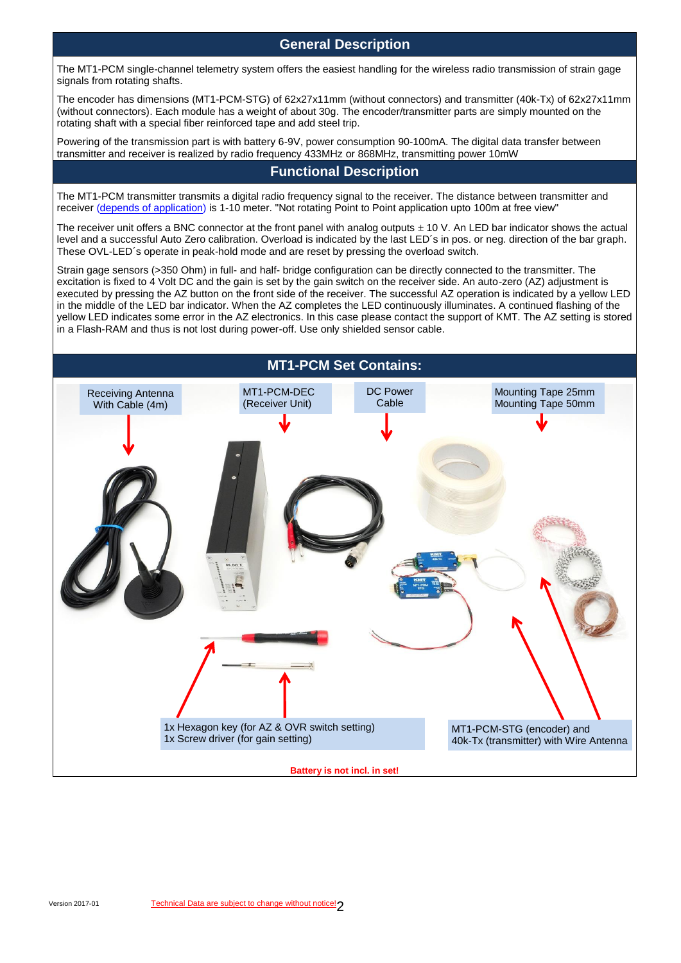**General Description**

The MT1-PCM single-channel telemetry system offers the easiest handling for the wireless radio transmission of strain gage signals from rotating shafts.

The encoder has dimensions (MT1-PCM-STG) of 62x27x11mm (without connectors) and transmitter (40k-Tx) of 62x27x11mm (without connectors). Each module has a weight of about 30g. The encoder/transmitter parts are simply mounted on the rotating shaft with a special fiber reinforced tape and add steel trip.

Powering of the transmission part is with battery 6-9V, power consumption 90-100mA. The digital data transfer between transmitter and receiver is realized by radio frequency 433MHz or 868MHz, transmitting power 10mW

#### **Functional Description**

The MT1-PCM transmitter transmits a digital radio frequency signal to the receiver. The distance between transmitter and receiver (depends of application) is 1-10 meter. "Not rotating Point to Point application upto 100m at free view"

The receiver unit offers a BNC connector at the front panel with analog outputs  $\pm$  10 V. An LED bar indicator shows the actual level and a successful Auto Zero calibration. Overload is indicated by the last LED´s in pos. or neg. direction of the bar graph. These OVL-LED´s operate in peak-hold mode and are reset by pressing the overload switch.

Strain gage sensors (>350 Ohm) in full- and half- bridge configuration can be directly connected to the transmitter. The excitation is fixed to 4 Volt DC and the gain is set by the gain switch on the receiver side. An auto-zero (AZ) adjustment is executed by pressing the AZ button on the front side of the receiver. The successful AZ operation is indicated by a yellow LED in the middle of the LED bar indicator. When the AZ completes the LED continuously illuminates. A continued flashing of the yellow LED indicates some error in the AZ electronics. In this case please contact the support of KMT. The AZ setting is stored in a Flash-RAM and thus is not lost during power-off. Use only shielded sensor cable.

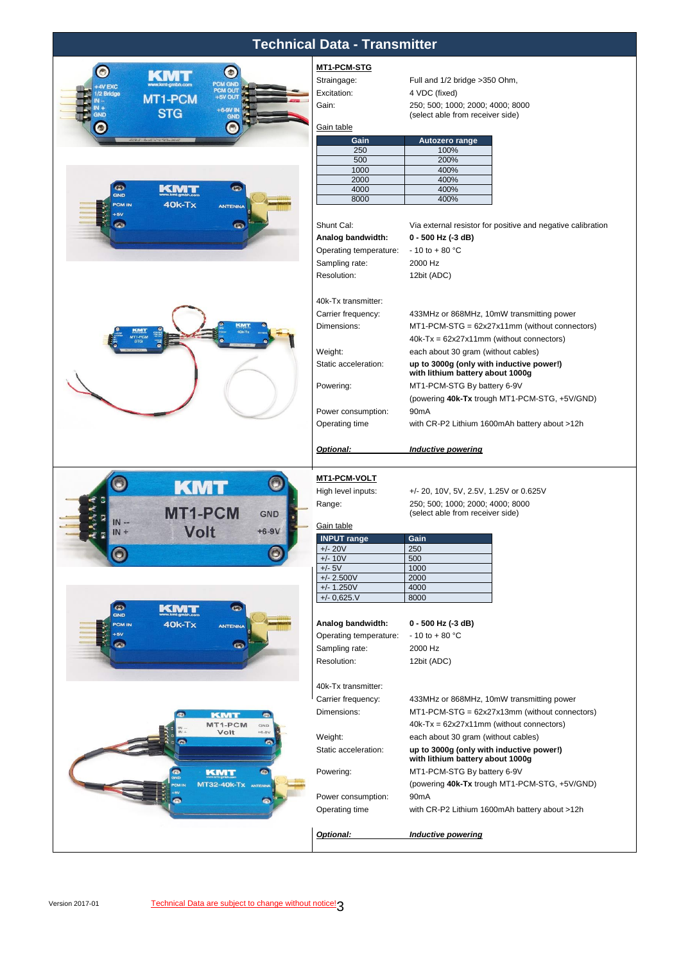| <b>Technical Data - Transmitter</b>                  |                                          |                                                                      |  |  |
|------------------------------------------------------|------------------------------------------|----------------------------------------------------------------------|--|--|
|                                                      | MT1-PCM-STG                              |                                                                      |  |  |
| $\bullet$<br>$\bullet$<br>K W                        | Straingage:                              | Full and 1/2 bridge > 350 Ohm,                                       |  |  |
| <b>PCM GND</b><br>4V EXC<br>PCM OUT<br>1/2 Bridge    | Excitation:                              | 4 VDC (fixed)                                                        |  |  |
| <b>MT1-PCM</b>                                       | Gain:                                    | 250; 500; 1000; 2000; 4000; 8000                                     |  |  |
| <b>STG</b><br>GND                                    |                                          | (select able from receiver side)                                     |  |  |
|                                                      | Gain table                               |                                                                      |  |  |
|                                                      | Gain                                     | Autozero range                                                       |  |  |
|                                                      | 250                                      | 100%                                                                 |  |  |
|                                                      | 500<br>1000                              | 200%<br>400%                                                         |  |  |
|                                                      | 2000                                     | 400%                                                                 |  |  |
| $\bigodot$<br>$\odot$<br>KMT<br><b>GND</b>           | 4000                                     | 400%                                                                 |  |  |
| $40k-Tx$<br><b>PCM IN</b><br><b>ANTENNA</b>          | 8000                                     | 400%                                                                 |  |  |
| $+5V$<br>$\bullet$<br>$\odot$                        |                                          |                                                                      |  |  |
|                                                      | Shunt Cal:                               | Via external resistor for positive and negative calibration          |  |  |
|                                                      | Analog bandwidth:                        | 0 - 500 Hz (-3 dB)<br>$-10$ to $+80$ °C                              |  |  |
|                                                      | Operating temperature:<br>Sampling rate: | 2000 Hz                                                              |  |  |
|                                                      | Resolution:                              | 12bit (ADC)                                                          |  |  |
|                                                      |                                          |                                                                      |  |  |
|                                                      | 40k-Tx transmitter:                      |                                                                      |  |  |
|                                                      | Carrier frequency:                       | 433MHz or 868MHz, 10mW transmitting power                            |  |  |
|                                                      | Dimensions:                              | MT1-PCM-STG = 62x27x11mm (without connectors)                        |  |  |
|                                                      |                                          | $40k-Tx = 62x27x11mm$ (without connectors)                           |  |  |
|                                                      | Weight:                                  | each about 30 gram (without cables)                                  |  |  |
|                                                      | Static acceleration:                     | up to 3000g (only with inductive power!)                             |  |  |
|                                                      |                                          | with lithium battery about 1000g                                     |  |  |
|                                                      | Powering:                                | MT1-PCM-STG By battery 6-9V                                          |  |  |
|                                                      |                                          | (powering 40k-Tx trough MT1-PCM-STG, +5V/GND)                        |  |  |
|                                                      | Power consumption:                       | 90 <sub>m</sub> A                                                    |  |  |
|                                                      | Operating time                           | with CR-P2 Lithium 1600mAh battery about >12h                        |  |  |
|                                                      | Optional:                                | <b>Inductive powering</b>                                            |  |  |
|                                                      |                                          |                                                                      |  |  |
| $\bigcirc$<br><b>KMT</b>                             | <b>MT1-PCM-VOLT</b>                      |                                                                      |  |  |
|                                                      | High level inputs:                       | +/- 20, 10V, 5V, 2.5V, 1.25V or 0.625V                               |  |  |
| <b>MT1-PCM</b><br><b>GND</b>                         | Range:                                   | 250; 500; 1000; 2000; 4000; 8000<br>(select able from receiver side) |  |  |
| $IN -$                                               | Gain table                               |                                                                      |  |  |
| Volt<br>$+6-9V$<br>$IN +$                            | <b>INPUT</b> range                       | Gain                                                                 |  |  |
|                                                      | $+/- 20V$                                | 250                                                                  |  |  |
|                                                      | $+/- 10V$<br>$+/- 5V$                    | 500<br>1000                                                          |  |  |
|                                                      | $+/- 2.500V$                             | 2000                                                                 |  |  |
|                                                      | $+/- 1.250V$                             | 4000                                                                 |  |  |
| $\bullet$<br>$\bullet$                               | $+/- 0,625. V$                           | 8000                                                                 |  |  |
| KMT<br>GND                                           |                                          |                                                                      |  |  |
| $40k-Tx$<br><b>PCM IN</b><br><b>ANTENNA</b><br>$+5V$ | Analog bandwidth:                        | 0 - 500 Hz (-3 dB)                                                   |  |  |
| $\bullet$<br>$\bullet$                               | Operating temperature:                   | $-10$ to $+80$ °C                                                    |  |  |
|                                                      | Sampling rate:<br>Resolution:            | 2000 Hz                                                              |  |  |
|                                                      |                                          | 12bit (ADC)                                                          |  |  |
|                                                      | 40k-Tx transmitter:                      |                                                                      |  |  |
|                                                      | Carrier frequency:                       | 433MHz or 868MHz, 10mW transmitting power                            |  |  |
| o                                                    | Dimensions:                              | MT1-PCM-STG = 62x27x13mm (without connectors)                        |  |  |
| <b>KMT</b><br>$\bullet$<br>MT1-PCM<br>GND            |                                          | $40k-Tx = 62x27x11mm$ (without connectors)                           |  |  |
| Volt<br>$+6 - 9V$                                    | Weight:                                  | each about 30 gram (without cables)                                  |  |  |
| $\bullet$                                            | Static acceleration:                     | up to 3000g (only with inductive power!)                             |  |  |
|                                                      |                                          | with lithium battery about 1000g                                     |  |  |
| G<br><b>KMT</b><br>O.                                | Powering:                                | MT1-PCM-STG By battery 6-9V                                          |  |  |
| MT32-40K-TX ANTENN                                   |                                          | (powering 40k-Tx trough MT1-PCM-STG, +5V/GND)                        |  |  |
| $\bullet$<br>$\bullet$                               | Power consumption:                       | 90 <sub>m</sub> A                                                    |  |  |
|                                                      | Operating time                           | with CR-P2 Lithium 1600mAh battery about >12h                        |  |  |
|                                                      | Optional:                                | <b>Inductive powering</b>                                            |  |  |
|                                                      |                                          |                                                                      |  |  |